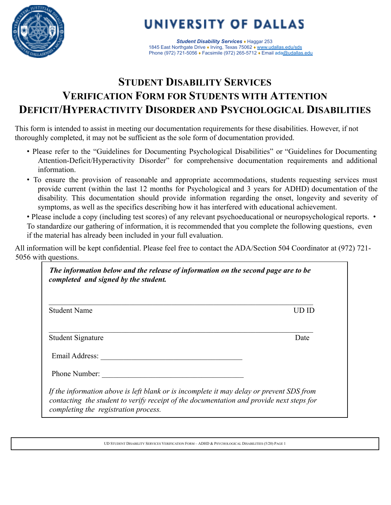

*Student Disability Services* ♦ Haggar 253 1845 East Northgate Drive ♦ Irving, Texas 75062 ♦ www.udallas.edu/sds Phone (972) 721-5056 ♦ Facsimile (972) 265-5712 ♦ Email ada@udallas.edu

### **STUDENT DISABILITY SERVICES VERIFICATION FORM FOR STUDENTS WITH ATTENTION DEFICIT/HYPERACTIVITY DISORDER AND PSYCHOLOGICAL DISABILITIES**

This form is intended to assist in meeting our documentation requirements for these disabilities. However, if not thoroughly completed, it may not be sufficient as the sole form of documentation provided.

- Please refer to the "Guidelines for Documenting Psychological Disabilities" or "Guidelines for Documenting Attention-Deficit/Hyperactivity Disorder" for comprehensive documentation requirements and additional information.
- To ensure the provision of reasonable and appropriate accommodations, students requesting services must provide current (within the last 12 months for Psychological and 3 years for ADHD) documentation of the disability. This documentation should provide information regarding the onset, longevity and severity of symptoms, as well as the specifics describing how it has interfered with educational achievement.
- Please include a copy (including test scores) of any relevant psychoeducational or neuropsychological reports. To standardize our gathering of information, it is recommended that you complete the following questions, even if the material has already been included in your full evaluation.

All information will be kept confidential. Please feel free to contact the ADA/Section 504 Coordinator at (972) 721- 5056 with questions.

| The information below and the release of information on the second page are to be<br>completed and signed by the student.                                                                                                    |        |
|------------------------------------------------------------------------------------------------------------------------------------------------------------------------------------------------------------------------------|--------|
| <b>Student Name</b>                                                                                                                                                                                                          | LID IF |
| <b>Student Signature</b>                                                                                                                                                                                                     | Date   |
| Email Address:                                                                                                                                                                                                               |        |
| Phone Number:                                                                                                                                                                                                                |        |
| If the information above is left blank or is incomplete it may delay or prevent SDS from<br>contacting the student to verify receipt of the documentation and provide next steps for<br>completing the registration process. |        |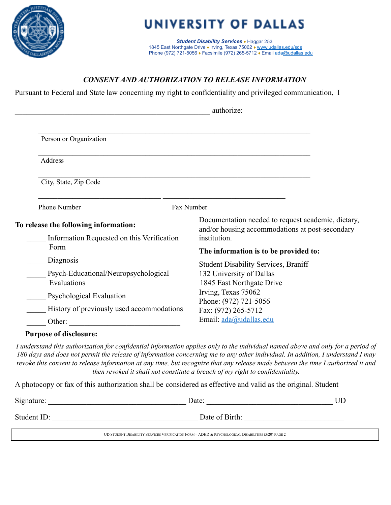

*Student Disability Services* ♦ Haggar 253 1845 East Northgate Drive ♦ Irving, Texas 75062 ♦ www.udallas.edu/sds Phone (972) 721-5056 ♦ Facsimile (972) 265-5712 ♦ Email ada@udallas.edu

#### *CONSENT AND AUTHORIZATION TO RELEASE INFORMATION*

Pursuant to Federal and State law concerning my right to confidentiality and privileged communication, I

|                                            | authorize:                                                                                            |
|--------------------------------------------|-------------------------------------------------------------------------------------------------------|
|                                            |                                                                                                       |
| Person or Organization                     |                                                                                                       |
| Address                                    |                                                                                                       |
| City, State, Zip Code                      |                                                                                                       |
| Phone Number                               | Fax Number                                                                                            |
| To release the following information:      | Documentation needed to request academic, dietary,<br>and/or housing accommodations at post-secondary |
| Information Requested on this Verification | institution.                                                                                          |
| Form                                       | The information is to be provided to:                                                                 |
| Diagnosis                                  | <b>Student Disability Services, Braniff</b>                                                           |
| Psych-Educational/Neuropsychological       | 132 University of Dallas                                                                              |
| Evaluations                                | 1845 East Northgate Drive                                                                             |
| Psychological Evaluation                   | Irving, Texas 75062<br>Phone: (972) 721-5056                                                          |
| History of previously used accommodations  | Fax: (972) 265-5712                                                                                   |
| Other:                                     | Email: ada@udallas.edu                                                                                |
|                                            |                                                                                                       |

#### **Purpose of disclosure:**

I understand this authorization for confidential information applies only to the individual named above and only for a period of 180 days and does not permit the release of information concerning me to any other individual. In addition, I understand I may revoke this consent to release information at any time, but recognize that any release made between the time I authorized it and *then revoked it shall not constitute a breach of my right to confidentiality.*

A photocopy or fax of this authorization shall be considered as effective and valid as the original. Student

| Signature:  | Date:          |  |
|-------------|----------------|--|
| Student ID: | Date of Birth: |  |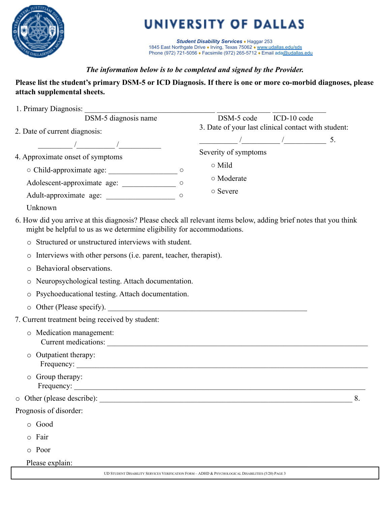

*Student Disability Services* ♦ Haggar 253 1845 East Northgate Drive ♦ Irving, Texas 75062 ♦ www.udallas.edu/sds Phone (972) 721-5056 ♦ Facsimile (972) 265-5712 ♦ Email ada@udallas.edu

#### *The information below is to be completed and signed by the Provider.*

#### **Please list the student's primary DSM-5 or ICD Diagnosis. If there is one or more co-morbid diagnoses, please attach supplemental sheets.**

| 1. Primary Diagnosis:                                                                                                                                         |                                                                                                                   |
|---------------------------------------------------------------------------------------------------------------------------------------------------------------|-------------------------------------------------------------------------------------------------------------------|
| DSM-5 diagnosis name                                                                                                                                          | DSM-5 code ICD-10 code                                                                                            |
| 2. Date of current diagnosis:                                                                                                                                 | 3. Date of your last clinical contact with student:                                                               |
|                                                                                                                                                               | $\frac{1}{\sqrt{2\pi}}$ $\frac{1}{\sqrt{2\pi}}$ 5.                                                                |
| 4. Approximate onset of symptoms                                                                                                                              | Severity of symptoms                                                                                              |
|                                                                                                                                                               | $\circ$ Mild<br>$\circ$                                                                                           |
| Adolescent-approximate age:                                                                                                                                   | ○ Moderate<br>$\circ$                                                                                             |
| Adult-approximate age:                                                                                                                                        | ○ Severe<br>$\circ$                                                                                               |
| Unknown                                                                                                                                                       |                                                                                                                   |
| might be helpful to us as we determine eligibility for accommodations.                                                                                        | 6. How did you arrive at this diagnosis? Please check all relevant items below, adding brief notes that you think |
| Structured or unstructured interviews with student.                                                                                                           |                                                                                                                   |
| Interviews with other persons (i.e. parent, teacher, therapist).<br>0                                                                                         |                                                                                                                   |
| Behavioral observations.<br>O                                                                                                                                 |                                                                                                                   |
| Neuropsychological testing. Attach documentation.<br>$\circ$                                                                                                  |                                                                                                                   |
| Psychoeducational testing. Attach documentation.<br>O                                                                                                         |                                                                                                                   |
|                                                                                                                                                               |                                                                                                                   |
| 7. Current treatment being received by student:                                                                                                               |                                                                                                                   |
| o Medication management:                                                                                                                                      |                                                                                                                   |
| Outpatient therapy:                                                                                                                                           |                                                                                                                   |
| $\circ$ Group therapy:<br>Frequency:<br><u> 1989 - Johann Harry Harry Harry Harry Harry Harry Harry Harry Harry Harry Harry Harry Harry Harry Harry Harry</u> |                                                                                                                   |
| o Other (please describe):                                                                                                                                    | 8.                                                                                                                |
| Prognosis of disorder:                                                                                                                                        |                                                                                                                   |
| o Good                                                                                                                                                        |                                                                                                                   |
| o Fair                                                                                                                                                        |                                                                                                                   |
| o Poor                                                                                                                                                        |                                                                                                                   |
| Please explain:                                                                                                                                               |                                                                                                                   |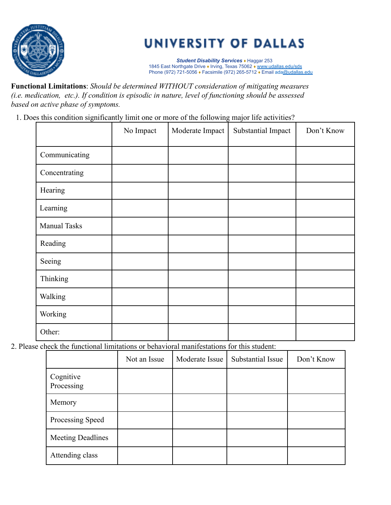

*Student Disability Services* ♦ Haggar 253 1845 East Northgate Drive ♦ Irving, Texas 75062 ♦ www.udallas.edu/sds Phone (972) 721-5056 ♦ Facsimile (972) 265-5712 ♦ Email ada@udallas.edu

**Functional Limitations**: *Should be determined WITHOUT consideration of mitigating measures (i.e. medication, etc.). If condition is episodic in nature, level of functioning should be assessed based on active phase of symptoms.*

1. Does this condition significantly limit one or more of the following major life activities?

|                     | No Impact | Moderate Impact | Substantial Impact | Don't Know |
|---------------------|-----------|-----------------|--------------------|------------|
| Communicating       |           |                 |                    |            |
| Concentrating       |           |                 |                    |            |
| Hearing             |           |                 |                    |            |
| Learning            |           |                 |                    |            |
| <b>Manual Tasks</b> |           |                 |                    |            |
| Reading             |           |                 |                    |            |
| Seeing              |           |                 |                    |            |
| Thinking            |           |                 |                    |            |
| Walking             |           |                 |                    |            |
| Working             |           |                 |                    |            |
| Other:              |           |                 |                    |            |

2. Please check the functional limitations or behavioral manifestations for this student:

|                          | Not an Issue | Moderate Issue | Substantial Issue | Don't Know |
|--------------------------|--------------|----------------|-------------------|------------|
| Cognitive<br>Processing  |              |                |                   |            |
| Memory                   |              |                |                   |            |
| Processing Speed         |              |                |                   |            |
| <b>Meeting Deadlines</b> |              |                |                   |            |
| Attending class          |              |                |                   |            |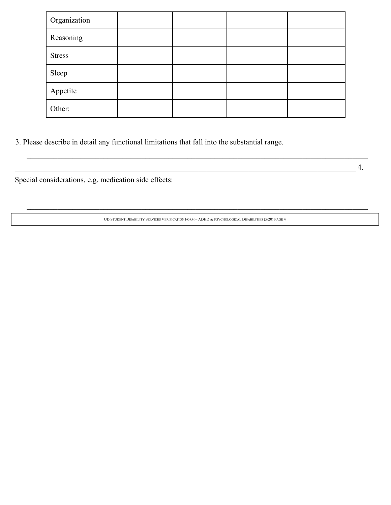| Organization  |  |  |
|---------------|--|--|
| Reasoning     |  |  |
| <b>Stress</b> |  |  |
| Sleep         |  |  |
| Appetite      |  |  |
| Other:        |  |  |

3. Please describe in detail any functional limitations that fall into the substantial range.

Special considerations, e.g. medication side effects:

UD STUDENT DISABILITY SERVICES VERIFICATION FORM – ADHD & PSYCHOLOGICAL DISABILITIES (5/20) PAGE 4

 $\_$  , and the contribution of the contribution of the contribution of the contribution of the contribution of  $\mathcal{L}_\text{max}$  $\mathcal{L}_\mathcal{L} = \mathcal{L}_\mathcal{L} = \mathcal{L}_\mathcal{L} = \mathcal{L}_\mathcal{L} = \mathcal{L}_\mathcal{L} = \mathcal{L}_\mathcal{L} = \mathcal{L}_\mathcal{L} = \mathcal{L}_\mathcal{L} = \mathcal{L}_\mathcal{L} = \mathcal{L}_\mathcal{L} = \mathcal{L}_\mathcal{L} = \mathcal{L}_\mathcal{L} = \mathcal{L}_\mathcal{L} = \mathcal{L}_\mathcal{L} = \mathcal{L}_\mathcal{L} = \mathcal{L}_\mathcal{L} = \mathcal{L}_\mathcal{L}$ 

 $\_$  , and the contribution of the contribution of the contribution of the contribution of the contribution of  $\mathcal{L}_\text{max}$ 

 $4.$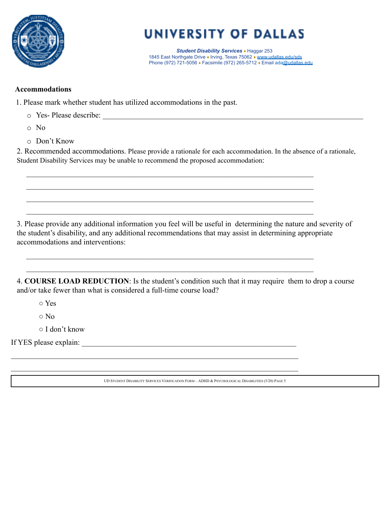

*Student Disability Services* ♦ Haggar 253 1845 East Northgate Drive ♦ Irving, Texas 75062 ♦ www.udallas.edu/sds Phone (972) 721-5056 ♦ Facsimile (972) 265-5712 ♦ Email ada@udallas.edu

#### **Accommodations**

1. Please mark whether student has utilized accommodations in the past.

o Yes- Please describe: \_\_\_\_\_\_\_\_\_\_\_\_\_\_\_\_\_\_\_\_\_\_\_\_\_\_\_\_\_\_\_\_\_\_\_\_\_\_\_\_\_\_\_\_\_\_\_\_\_\_\_\_\_\_\_\_\_\_\_\_\_\_\_\_\_\_\_\_

o No

o Don't Know

2. Recommended accommodations. Please provide a rationale for each accommodation. In the absence of a rationale, Student Disability Services may be unable to recommend the proposed accommodation:

 $\mathcal{L}_\text{max}$  , and the contribution of the contribution of the contribution of the contribution of the contribution of the contribution of the contribution of the contribution of the contribution of the contribution of t  $\mathcal{L}_\text{max} = \mathcal{L}_\text{max} = \mathcal{L}_\text{max} = \mathcal{L}_\text{max} = \mathcal{L}_\text{max} = \mathcal{L}_\text{max} = \mathcal{L}_\text{max} = \mathcal{L}_\text{max} = \mathcal{L}_\text{max} = \mathcal{L}_\text{max} = \mathcal{L}_\text{max} = \mathcal{L}_\text{max} = \mathcal{L}_\text{max} = \mathcal{L}_\text{max} = \mathcal{L}_\text{max} = \mathcal{L}_\text{max} = \mathcal{L}_\text{max} = \mathcal{L}_\text{max} = \mathcal{$  $\mathcal{L}_\text{max} = \mathcal{L}_\text{max} = \mathcal{L}_\text{max} = \mathcal{L}_\text{max} = \mathcal{L}_\text{max} = \mathcal{L}_\text{max} = \mathcal{L}_\text{max} = \mathcal{L}_\text{max} = \mathcal{L}_\text{max} = \mathcal{L}_\text{max} = \mathcal{L}_\text{max} = \mathcal{L}_\text{max} = \mathcal{L}_\text{max} = \mathcal{L}_\text{max} = \mathcal{L}_\text{max} = \mathcal{L}_\text{max} = \mathcal{L}_\text{max} = \mathcal{L}_\text{max} = \mathcal{$  $\mathcal{L}_\text{max} = \mathcal{L}_\text{max} = \mathcal{L}_\text{max} = \mathcal{L}_\text{max} = \mathcal{L}_\text{max} = \mathcal{L}_\text{max} = \mathcal{L}_\text{max} = \mathcal{L}_\text{max} = \mathcal{L}_\text{max} = \mathcal{L}_\text{max} = \mathcal{L}_\text{max} = \mathcal{L}_\text{max} = \mathcal{L}_\text{max} = \mathcal{L}_\text{max} = \mathcal{L}_\text{max} = \mathcal{L}_\text{max} = \mathcal{L}_\text{max} = \mathcal{L}_\text{max} = \mathcal{$ 

 $\mathcal{L}_\text{max} = \mathcal{L}_\text{max} = \mathcal{L}_\text{max} = \mathcal{L}_\text{max} = \mathcal{L}_\text{max} = \mathcal{L}_\text{max} = \mathcal{L}_\text{max} = \mathcal{L}_\text{max} = \mathcal{L}_\text{max} = \mathcal{L}_\text{max} = \mathcal{L}_\text{max} = \mathcal{L}_\text{max} = \mathcal{L}_\text{max} = \mathcal{L}_\text{max} = \mathcal{L}_\text{max} = \mathcal{L}_\text{max} = \mathcal{L}_\text{max} = \mathcal{L}_\text{max} = \mathcal{$  $\mathcal{L}_\text{max} = \mathcal{L}_\text{max} = \mathcal{L}_\text{max} = \mathcal{L}_\text{max} = \mathcal{L}_\text{max} = \mathcal{L}_\text{max} = \mathcal{L}_\text{max} = \mathcal{L}_\text{max} = \mathcal{L}_\text{max} = \mathcal{L}_\text{max} = \mathcal{L}_\text{max} = \mathcal{L}_\text{max} = \mathcal{L}_\text{max} = \mathcal{L}_\text{max} = \mathcal{L}_\text{max} = \mathcal{L}_\text{max} = \mathcal{L}_\text{max} = \mathcal{L}_\text{max} = \mathcal{$ 

 $\mathcal{L}_\text{max} = \mathcal{L}_\text{max} = \mathcal{L}_\text{max} = \mathcal{L}_\text{max} = \mathcal{L}_\text{max} = \mathcal{L}_\text{max} = \mathcal{L}_\text{max} = \mathcal{L}_\text{max} = \mathcal{L}_\text{max} = \mathcal{L}_\text{max} = \mathcal{L}_\text{max} = \mathcal{L}_\text{max} = \mathcal{L}_\text{max} = \mathcal{L}_\text{max} = \mathcal{L}_\text{max} = \mathcal{L}_\text{max} = \mathcal{L}_\text{max} = \mathcal{L}_\text{max} = \mathcal{$  $\mathcal{L}_\text{max} = \mathcal{L}_\text{max} = \mathcal{L}_\text{max} = \mathcal{L}_\text{max} = \mathcal{L}_\text{max} = \mathcal{L}_\text{max} = \mathcal{L}_\text{max} = \mathcal{L}_\text{max} = \mathcal{L}_\text{max} = \mathcal{L}_\text{max} = \mathcal{L}_\text{max} = \mathcal{L}_\text{max} = \mathcal{L}_\text{max} = \mathcal{L}_\text{max} = \mathcal{L}_\text{max} = \mathcal{L}_\text{max} = \mathcal{L}_\text{max} = \mathcal{L}_\text{max} = \mathcal{$ 

3. Please provide any additional information you feel will be useful in determining the nature and severity of the student's disability, and any additional recommendations that may assist in determining appropriate accommodations and interventions:

4. **COURSE LOAD REDUCTION**: Is the student's condition such that it may require them to drop a course and/or take fewer than what is considered a full-time course load?

○ Yes

○ No

○ I don't know

If YES please explain: \_\_\_\_\_\_\_\_\_\_\_\_\_\_\_\_\_\_\_\_\_\_\_\_\_\_\_\_\_\_\_\_\_\_\_\_\_\_\_\_\_\_\_\_\_\_\_\_\_\_\_\_\_\_\_\_